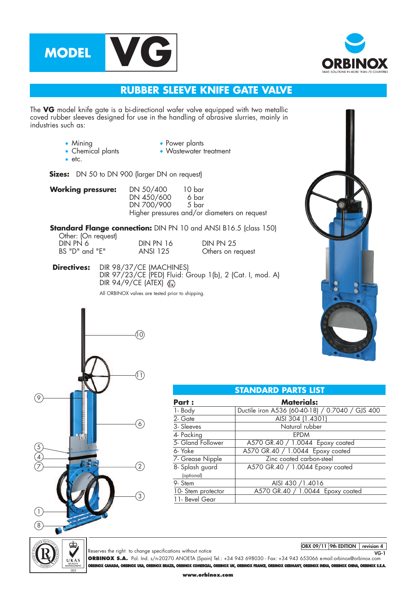



### **RUBBER SLEEVE KNIFE GATE VALVE**

The **VG** model knife gate is a bi-directional wafer valve equipped with two metallic coved rubber sleeves designed for use in the handling of abrasive slurries, mainly in industries such as:

- 
- Mining Power plants
- $e$  etc.
- $\bullet$  Wastewater treatment
- **Sizes:** DN 50 to DN 900 (larger DN on request)

| <b>Working pressure:</b> | DN 50/400  | 10 bar                                       |
|--------------------------|------------|----------------------------------------------|
|                          | DN 450/600 | 6 bar                                        |
|                          | DN 700/900 | -5 bar                                       |
|                          |            | Higher pressures and/or diameters on request |

**Standard Flange connection:** DIN PN 10 and ANSI B16.5 (class 150)

| Other: (On request) |  |
|---------------------|--|
| DIN PN 6            |  |
| $BS "D"$ and $"F"$  |  |

DIN PN 16 DIN PN 25<br>ANSI 125 Others on r Others on request

**Directives:** DIR 98/37/CE (MACHINES) DIR 97/23/CE (PED) Fluid: Group 1(b), 2 (Cat. I, mod. A) DIR 94/9/CE (ATEX)  $\langle \xi_x \rangle$ 

All ORBINOX valves are tested prior to shipping.





|                   | <b>STANDARD PARTS LIST</b>                      |
|-------------------|-------------------------------------------------|
| <b>Part :</b>     | <b>Materials:</b>                               |
| 1- Body           | Ductile iron A536 (60-40-18) / 0.7040 / GJS 400 |
| 2- Gate           | AISI 304 (1.4301)                               |
| 3- Sleeves        | Natural rubber                                  |
| 4- Packing        | <b>EPDM</b>                                     |
| 5- Gland Follower | A570 GR.40 / 1.0044 Epoxy coated                |
| 6- Yoke           | A570 GR.40 / 1.0044 Epoxy coated                |
| 7- Grease Nipple  | Zinc coated carbon-steel                        |
| 8- Splash guard   | A570 GR.40 / 1.0044 Epoxy coated                |
| (optional)        |                                                 |
| 9-Stem            | AISI 430 / 1.4016                               |
| 10-Stem protector | A570 GR.40 / 1.0044 Epoxy coated                |
| 11- Bevel Gear    |                                                 |

GE. Reserves the right to change specifications without notice **ORBINOX S.A.** Pol. Ind. s/n-20270 ANOETA (Spain) Tel.: +34 943 698030 - Fax: +34 943 653066 e-mail:orbinox@orbinox.com UKAS ORBINOX CANADA, ORBINOX USA, ORBINOX BRAZIL, ORBINOX COMERCIAL, ORBINOX UK, ORBINOX FRANCE, ORBINOX GERMANY, ORBINOX INDIA, ORBINOX OHNA, ORBINOX S.E.A.

**OBX 09/11 9th EDITION revision 4**

**VG-1**

**www.orbinox.com**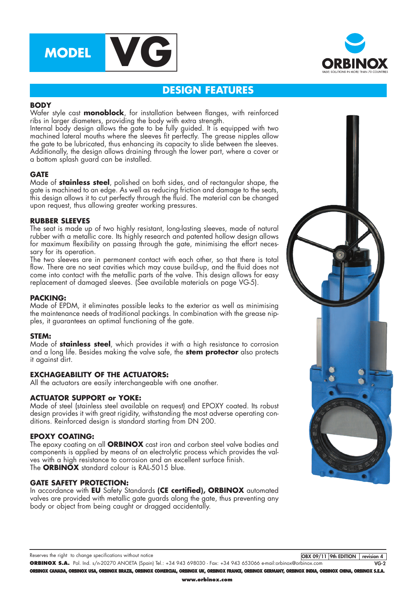



### **DESIGN FEATURES**

#### **BODY**

Wafer style cast **monoblock**, for installation between flanges, with reinforced ribs in larger diameters, providing the body with extra strength.

Internal body design allows the gate to be fully guided. It is equipped with two machined lateral mouths where the sleeves fit perfectly. The grease nipples allow the gate to be lubricated, thus enhancing its capacity to slide between the sleeves. Additionally, the design allows draining through the lower part, where a cover or a bottom splash guard can be installed.

#### **GATE**

Made of **stainless steel**, polished on both sides, and of rectangular shape, the gate is machined to an edge. As well as reducing friction and damage to the seats, this design allows it to cut perfectly through the fluid. The material can be changed upon request, thus allowing greater working pressures.

#### **RUBBER SLEEVES**

The seat is made up of two highly resistant, long-lasting sleeves, made of natural rubber with a metallic core. Its highly research and patented hollow design allows for maximum flexibility on passing through the gate, minimising the effort necessary for its operation.

The two sleeves are in permanent contact with each other, so that there is total flow. There are no seat cavities which may cause build-up, and the fluid does not come into contact with the metallic parts of the valve. This design allows for easy replacement of damaged sleeves. (See available materials on page VG-5).

#### **PACKING:**

Made of EPDM, it eliminates possible leaks to the exterior as well as minimising the maintenance needs of traditional packings. In combination with the grease nipples, it guarantees an optimal functioning of the gate.

#### **STEM:**

Made of **stainless steel**, which provides it with a high resistance to corrosion and a long life. Besides making the valve safe, the **stem protector** also protects it against dirt.

#### **EXCHAGEABILITY OF THE ACTUATORS:**

All the actuators are easily interchangeable with one another.

#### **ACTUATOR SUPPORT or YOKE:**

Made of steel (stainless steel available on request) and EPOXY coated. Its robust design provides it with great rigidity, withstanding the most adverse operating conditions. Reinforced design is standard starting from DN 200.

#### **EPOXY COATING:**

The epoxy coating on all **ORBINOX** cast iron and carbon steel valve bodies and components is applied by means of an electrolytic process which provides the valves with a high resistance to corrosion and an excellent surface finish. The **ORBINOX** standard colour is RAL-5015 blue.

#### **GATE SAFETY PROTECTION:**

In accordance with **EU** Safety Standards **(CE certified), ORBINOX** automated valves are provided with metallic gate guards along the gate, thus preventing any body or object from being caught or dragged accidentally.



Reserves the right to change specifications without notice

**OBX 09/11 9th EDITION revision 4**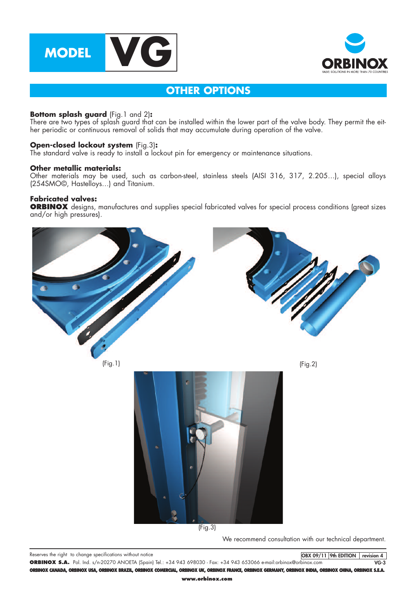



### **OTHER OPTIONS**

#### **Bottom splash guard** (Fig.1 and 2)**:**

There are two types of splash guard that can be installed within the lower part of the valve body. They permit the either periodic or continuous removal of solids that may accumulate during operation of the valve.

#### **Open-closed lockout system** (Fig.3)**:**

The standard valve is ready to install a lockout pin for emergency or maintenance situations.

#### **Other metallic materials:**

Other materials may be used, such as carbon-steel, stainless steels (AISI 316, 317, 2.205…), special alloys (254SMO©, Hastelloys…) and Titanium.

#### **Fabricated valves:**

**ORBINOX** designs, manufactures and supplies special fabricated valves for special process conditions (great sizes and/or high pressures).



(Fig.1)



(Fig.3)

We recommend consultation with our technical department.

(Fig.2)

Reserves the right to change specifications without notice **ORBINOX S.A.** Pol. Ind. s/n-20270 ANOETA (Spain) Tel.: +34 943 698030 - Fax: +34 943 653066 e-mail:orbinox@orbinox.com ORBINOX CANADA, ORBINOX USA, ORBINOX BRAZIL, ORBINOX COMERCIAL, ORBINOX UK, ORBINOX FRANCE, ORBINOX GERMANY, ORBINOX INDIA, ORBINOX GHINA, ORBINOX S.E.A. **OBX 09/11 9th EDITION revision 4 VG-3**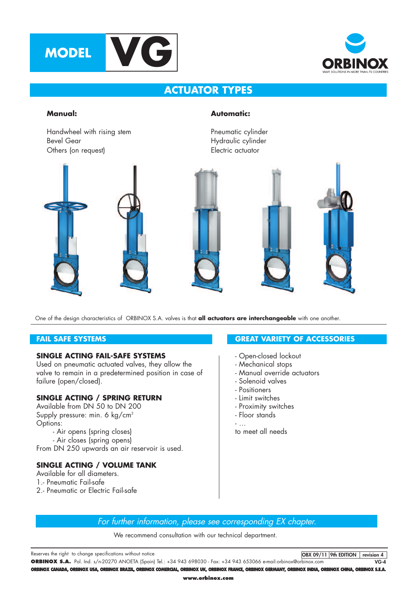



# **ACTUATOR TYPES**

Handwheel with rising stem **Pheumatic cylinder** Bevel Gear **Hydraulic cylinder** Others (on request) and the extent of the Electric actuator





One of the design characteristics of ORBINOX S.A. valves is that **all actuators are interchangeable** with one another.

### **FAIL SAFE SYSTEMS**

#### **SINGLE ACTING FAIL-SAFE SYSTEMS**

Used on pneumatic actuated valves, they allow the valve to remain in a predetermined position in case of failure (open/closed).

### **SINGLE ACTING / SPRING RETURN**

Available from DN 50 to DN 200 Supply pressure: min. 6 kg/cm<sup>2</sup> Options:

- Air opens (spring closes)
- Air closes (spring opens)
- From DN 250 upwards an air reservoir is used.

### **SINGLE ACTING / VOLUME TANK**

- Available for all diameters.
- 1.- Pneumatic Fail-safe
- 2.- Pneumatic or Electric Fail-safe

#### **GREAT VARIETY OF ACCESSORIES**

- Open-closed lockout
- Mechanical stops
- Manual override actuators
- Solenoid valves
- Positioners
- Limit switches
- Proximity switches
- Floor stands
- …
- to meet all needs

#### For further information, please see corresponding EX chapter.

We recommend consultation with our technical department.

Reserves the right to change specifications without notice

**OBX 09/11 9th EDITION revision 4 VG-4**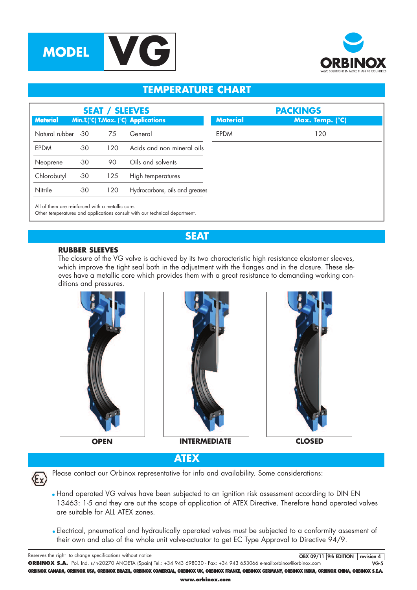



# **TEMPERATURE CHART**

|                    |                                                                                                                                | <b>SEAT / SLEEVES</b> |                                     | <b>PACKINGS</b> |                 |  |  |  |  |  |
|--------------------|--------------------------------------------------------------------------------------------------------------------------------|-----------------------|-------------------------------------|-----------------|-----------------|--|--|--|--|--|
| <b>Material</b>    |                                                                                                                                |                       | Min.T.(°C) T.Max. (°C) Applications | <b>Material</b> | Max. Temp. (°C) |  |  |  |  |  |
| Natural rubber -30 |                                                                                                                                | 75                    | General                             | EPDM            | 120             |  |  |  |  |  |
| <b>EPDM</b>        | $-30$                                                                                                                          | 120                   | Acids and non mineral oils          |                 |                 |  |  |  |  |  |
| Neoprene           | $-30$                                                                                                                          | 90                    | Oils and solvents                   |                 |                 |  |  |  |  |  |
| Chlorobutyl        | $-30$                                                                                                                          | 125                   | High temperatures                   |                 |                 |  |  |  |  |  |
| Nitrile            | $-30$                                                                                                                          | 120                   | Hydrocarbons, oils and greases      |                 |                 |  |  |  |  |  |
|                    | All of them are reinforced with a metallic core.<br>Other temperatures and applications consult with our technical department. |                       |                                     |                 |                 |  |  |  |  |  |

# **SEAT**

#### **RUBBER SLEEVES**

 $\langle \epsilon \mathbf{x} \rangle$ 

The closure of the VG valve is achieved by its two characteristic high resistance elastomer sleeves, which improve the tight seal both in the adjustment with the flanges and in the closure. These sleeves have a metallic core which provides them with a great resistance to demanding working conditions and pressures.



**ATEX**

Please contact our Orbinox representative for info and availability. Some considerations:

- Hand operated VG valves have been subjected to an ignition risk assessment according to DIN EN 13463: 1-5 and they are out the scope of application of ATEX Directive. Therefore hand operated valves are suitable for ALL ATEX zones.
- Electrical, pneumatical and hydraulically operated valves must be subjected to a conformity assesment of their own and also of the whole unit valve-actuator to get EC Type Approval to Directive 94/9.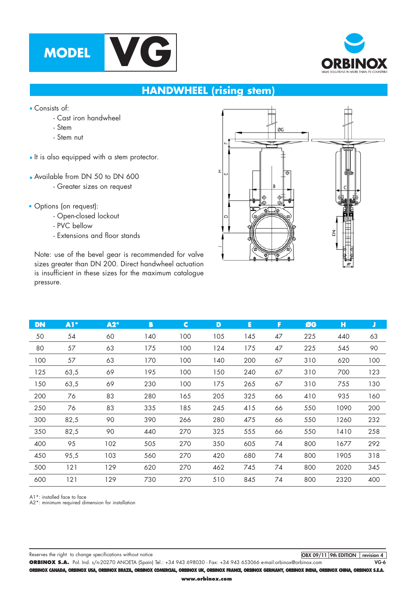



# **HANDWHEEL (rising stem)**

- Consists of:
	- Cast iron handwheel
	- Stem
	- Stem nut
- It is also equipped with a stem protector.
- Available from DN 50 to DN 600
	- Greater sizes on request
- Options (on request):
	- Open-closed lockout
	- PVC bellow
	- Extensions and floor stands

Note: use of the bevel gear is recommended for valve sizes greater than DN 200. Direct handwheel actuation is insufficient in these sizes for the maximum catalogue pressure.



| <b>DN</b> | $AI*$ | $A2*$ | B   | C   | D   | E   | F  | ØG  | н    | J   |
|-----------|-------|-------|-----|-----|-----|-----|----|-----|------|-----|
| 50        | 54    | 60    | 140 | 100 | 105 | 145 | 47 | 225 | 440  | 63  |
| 80        | 57    | 63    | 175 | 100 | 124 | 175 | 47 | 225 | 545  | 90  |
| 100       | 57    | 63    | 170 | 100 | 140 | 200 | 67 | 310 | 620  | 100 |
| 125       | 63,5  | 69    | 195 | 100 | 150 | 240 | 67 | 310 | 700  | 123 |
| 150       | 63,5  | 69    | 230 | 100 | 175 | 265 | 67 | 310 | 755  | 130 |
| 200       | 76    | 83    | 280 | 165 | 205 | 325 | 66 | 410 | 935  | 160 |
| 250       | 76    | 83    | 335 | 185 | 245 | 415 | 66 | 550 | 1090 | 200 |
| 300       | 82,5  | 90    | 390 | 266 | 280 | 475 | 66 | 550 | 1260 | 232 |
| 350       | 82,5  | 90    | 440 | 270 | 325 | 555 | 66 | 550 | 1410 | 258 |
| 400       | 95    | 102   | 505 | 270 | 350 | 605 | 74 | 800 | 1677 | 292 |
| 450       | 95,5  | 103   | 560 | 270 | 420 | 680 | 74 | 800 | 1905 | 318 |
| 500       | 121   | 129   | 620 | 270 | 462 | 745 | 74 | 800 | 2020 | 345 |
| 600       | 121   | 129   | 730 | 270 | 510 | 845 | 74 | 800 | 2320 | 400 |

A1\*: installed face to face

A2\*: minimum required dimension for installation

Reserves the right to change specifications without notice

**OBX 09/11 9th EDITION revision 4**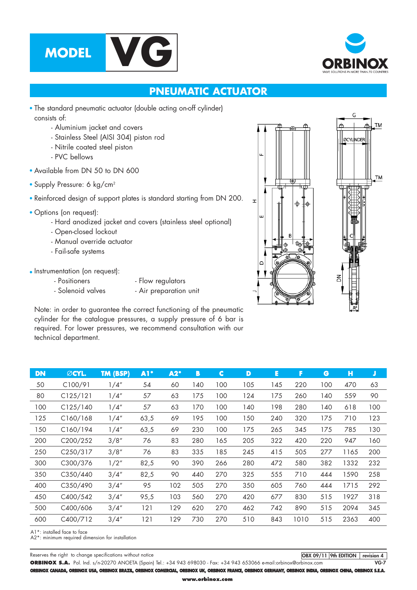



TM

ТM

### **PNEUMATIC ACTUATOR**

- The standard pneumatic actuator (double acting on-off cylinder) consists of:
	- Aluminium jacket and covers
	- Stainless Steel (AISI 304) piston rod
	- Nitrile coated steel piston
	- PVC bellows
- Available from DN 50 to DN 600
- Supply Pressure: 6 kg/cm<sup>2</sup>
- Reinforced design of support plates is standard starting from DN 200.
- Options (on request):
	- Hard anodized jacket and covers (stainless steel optional)
	- Open-closed lockout
	- Manual override actuator
	- Fail-safe systems

#### • Instrumentation (on request):

- Positioners **Flow regulators**
- Solenoid valves Air preparation unit
- Note: in order to guarantee the correct functioning of the pneumatic cylinder for the catalogue pressures, a supply pressure of 6 bar is required. For lower pressures, we recommend consultation with our technical department.



| <b>DN</b> | ØCYL.    | TM (BSP) | $A1*$ | $A2^*$ | B   | C.  | D   | Е   | F    | G   | н    | J   |
|-----------|----------|----------|-------|--------|-----|-----|-----|-----|------|-----|------|-----|
| 50        | C100/91  | 1/4''    | 54    | 60     | 140 | 100 | 105 | 145 | 220  | 100 | 470  | 63  |
| 80        | C125/121 | 1/4''    | 57    | 63     | 175 | 100 | 124 | 175 | 260  | 140 | 559  | 90  |
| 100       | C125/140 | 1/4''    | 57    | 63     | 170 | 100 | 140 | 198 | 280  | 140 | 618  | 100 |
| 125       | C160/168 | 1/4''    | 63,5  | 69     | 195 | 100 | 150 | 240 | 320  | 175 | 710  | 123 |
| 150       | C160/194 | 1/4''    | 63,5  | 69     | 230 | 100 | 175 | 265 | 345  | 175 | 785  | 130 |
| 200       | C200/252 | 3/8''    | 76    | 83     | 280 | 165 | 205 | 322 | 420  | 220 | 947  | 160 |
| 250       | C250/317 | 3/8''    | 76    | 83     | 335 | 185 | 245 | 415 | 505  | 277 | 1165 | 200 |
| 300       | C300/376 | 1/2"     | 82,5  | 90     | 390 | 266 | 280 | 472 | 580  | 382 | 1332 | 232 |
| 350       | C350/440 | 3/4''    | 82,5  | 90     | 440 | 270 | 325 | 555 | 710  | 444 | 1590 | 258 |
| 400       | C350/490 | 3/4''    | 95    | 102    | 505 | 270 | 350 | 605 | 760  | 444 | 1715 | 292 |
| 450       | C400/542 | 3/4''    | 95,5  | 103    | 560 | 270 | 420 | 677 | 830  | 515 | 1927 | 318 |
| 500       | C400/606 | 3/4''    | 121   | 129    | 620 | 270 | 462 | 742 | 890  | 515 | 2094 | 345 |
| 600       | C400/712 | 3/4''    | 121   | 129    | 730 | 270 | 510 | 843 | 1010 | 515 | 2363 | 400 |
|           |          |          |       |        |     |     |     |     |      |     |      |     |

A1\*: installed face to face

A2\*: minimum required dimension for installation

Reserves the right to change specifications without notice **OBX 09/11 9th EDITION revision 4**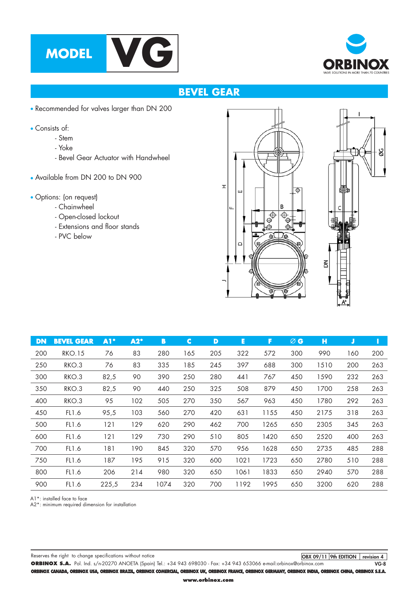



# **BEVEL GEAR**

- Recommended for valves larger than DN 200
- Consists of:
	- Stem
	- Yoke
	- Bevel Gear Actuator with Handwheel
- Available from DN 200 to DN 900
- Options: (on request)
	- Chainwheel
	- Open-closed lockout
	- Extensions and floor stands
	- PVC below





| <b>DN</b> | <b>BEVEL GEAR</b>  | $A1*$ | $A2^*$ | В    | C   | D   | E    | F    | $\varnothing$ G | н    | J   | П   |
|-----------|--------------------|-------|--------|------|-----|-----|------|------|-----------------|------|-----|-----|
| 200       | <b>RKO.15</b>      | 76    | 83     | 280  | 165 | 205 | 322  | 572  | 300             | 990  | 160 | 200 |
| 250       | RKO.3              | 76    | 83     | 335  | 185 | 245 | 397  | 688  | 300             | 1510 | 200 | 263 |
| 300       | RKO.3              | 82,5  | 90     | 390  | 250 | 280 | 441  | 767  | 450             | 1590 | 232 | 263 |
| 350       | RKO.3              | 82,5  | 90     | 440  | 250 | 325 | 508  | 879  | 450             | 1700 | 258 | 263 |
| 400       | RKO.3              | 95    | 102    | 505  | 270 | 350 | 567  | 963  | 450             | 1780 | 292 | 263 |
| 450       | FL <sub>1</sub> .6 | 95,5  | 103    | 560  | 270 | 420 | 631  | 1155 | 450             | 2175 | 318 | 263 |
| 500       | FL1.6              | 121   | 129    | 620  | 290 | 462 | 700  | 1265 | 650             | 2305 | 345 | 263 |
| 600       | FL1.6              | 121   | 129    | 730  | 290 | 510 | 805  | 1420 | 650             | 2520 | 400 | 263 |
| 700       | FL1.6              | 181   | 190    | 845  | 320 | 570 | 956  | 1628 | 650             | 2735 | 485 | 288 |
| 750       | FL1.6              | 187   | 195    | 915  | 320 | 600 | 1021 | 1723 | 650             | 2780 | 510 | 288 |
| 800       | FL1.6              | 206   | 214    | 980  | 320 | 650 | 1061 | 1833 | 650             | 2940 | 570 | 288 |
| 900       | FL1.6              | 225,5 | 234    | 1074 | 320 | 700 | 1192 | 1995 | 650             | 3200 | 620 | 288 |

A1\*: installed face to face

A2\*: minimum required dimension for installation

Reserves the right to change specifications without notice

**OBX 09/11 9th EDITION revision 4**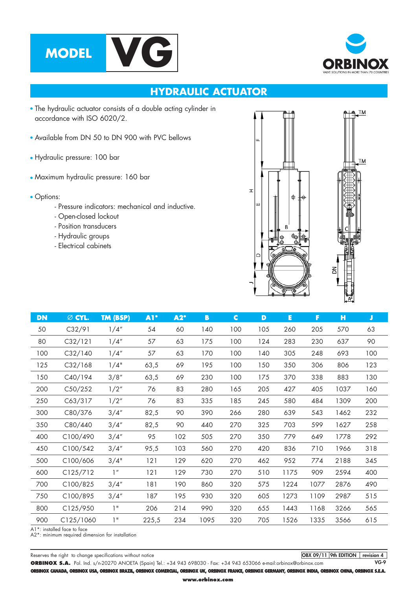



# **HYDRAULIC ACTUATOR**

- The hydraulic actuator consists of a double acting cylinder in accordance with ISO 6020/2.
- Available from DN 50 to DN 900 with PVC bellows
- Hydraulic pressure: 100 bar
- Maximum hydraulic pressure: 160 bar
- Options:
	- Pressure indicators: mechanical and inductive.
	- Open-closed lockout
	- Position transducers
	- Hydraulic groups
	- Electrical cabinets



| <b>DN</b> | $\oslash$ CYL. | TM (BSP)        | $AI^*$ | $A2^*$ | $\mathbf{B}$ | $\mathbf C$ | D   | E    | г    | н    | J   |
|-----------|----------------|-----------------|--------|--------|--------------|-------------|-----|------|------|------|-----|
| 50        | C32/91         | 1/4''           | 54     | 60     | 140          | 100         | 105 | 260  | 205  | 570  | 63  |
| 80        | C32/121        | 1/4''           | 57     | 63     | 175          | 100         | 124 | 283  | 230  | 637  | 90  |
| 100       | C32/140        | 1/4''           | 57     | 63     | 170          | 100         | 140 | 305  | 248  | 693  | 100 |
| 125       | C32/168        | 1/4"            | 63,5   | 69     | 195          | 100         | 150 | 350  | 306  | 806  | 123 |
| 150       | C40/194        | 3/8''           | 63,5   | 69     | 230          | 100         | 175 | 370  | 338  | 883  | 130 |
| 200       | C50/252        | 1/2''           | 76     | 83     | 280          | 165         | 205 | 427  | 405  | 1037 | 160 |
| 250       | C63/317        | 1/2''           | 76     | 83     | 335          | 185         | 245 | 580  | 484  | 1309 | 200 |
| 300       | C80/376        | 3/4''           | 82,5   | 90     | 390          | 266         | 280 | 639  | 543  | 1462 | 232 |
| 350       | C80/440        | 3/4''           | 82,5   | 90     | 440          | 270         | 325 | 703  | 599  | 1627 | 258 |
| 400       | C100/490       | 3/4''           | 95     | 102    | 505          | 270         | 350 | 779  | 649  | 1778 | 292 |
| 450       | C100/542       | 3/4''           | 95,5   | 103    | 560          | 270         | 420 | 836  | 710  | 1966 | 318 |
| 500       | C100/606       | 3/4"            | 121    | 129    | 620          | 270         | 462 | 952  | 774  | 2188 | 345 |
| 600       | C125/712       | $\mathcal{I}''$ | 121    | 129    | 730          | 270         | 510 | 1175 | 909  | 2594 | 400 |
| 700       | C100/825       | 3/4''           | 181    | 190    | 860          | 320         | 575 | 1224 | 1077 | 2876 | 490 |
| 750       | C100/895       | 3/4''           | 187    | 195    | 930          | 320         | 605 | 1273 | 1109 | 2987 | 515 |
| 800       | C125/950       | 1"              | 206    | 214    | 990          | 320         | 655 | 1443 | 1168 | 3266 | 565 |
| 900       | C125/1060      | 1"              | 225,5  | 234    | 1095         | 320         | 705 | 1526 | 1335 | 3566 | 615 |

A1\*: installed face to face

A2<sup>\*</sup>: minimum required dimension for installation

Reserves the right to change specifications without notice

**OBX 09/11 9th EDITION revision 4**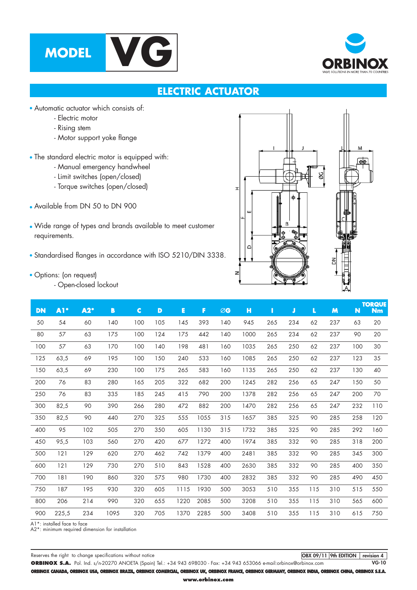



**TORQUE**

# **ELECTRIC ACTUATOR**

- Automatic actuator which consists of:
	- Electric motor
	- Rising stem
	- Motor support yoke flange
- The standard electric motor is equipped with:
	- Manual emergency handwheel
	- Limit switches (open/closed)
	- Torque switches (open/closed)
- Available from DN 50 to DN 900
- Wide range of types and brands available to meet customer requirements.
- Standardised flanges in accordance with ISO 5210/DIN 3338.
- Options: (on request)
	- Open-closed lockout



| <b>DN</b> | A1*                         | $A2*$ | B    | C   | D   | E    | F    | $\oslash$ G | н    | Ш   | J   | L   | M   | N   | <u>i Jingul</u><br><b>Nm</b> |
|-----------|-----------------------------|-------|------|-----|-----|------|------|-------------|------|-----|-----|-----|-----|-----|------------------------------|
| 50        | 54                          | 60    | 140  | 100 | 105 | 145  | 393  | 140         | 945  | 265 | 234 | 62  | 237 | 63  | 20                           |
| 80        | 57                          | 63    | 175  | 100 | 124 | 175  | 442  | 140         | 1000 | 265 | 234 | 62  | 237 | 90  | 20                           |
| 100       | 57                          | 63    | 170  | 100 | 140 | 198  | 481  | 160         | 1035 | 265 | 250 | 62  | 237 | 100 | 30                           |
| 125       | 63,5                        | 69    | 195  | 100 | 150 | 240  | 533  | 160         | 1085 | 265 | 250 | 62  | 237 | 123 | 35                           |
| 150       | 63,5                        | 69    | 230  | 100 | 175 | 265  | 583  | 160         | 1135 | 265 | 250 | 62  | 237 | 130 | 40                           |
| 200       | 76                          | 83    | 280  | 165 | 205 | 322  | 682  | 200         | 1245 | 282 | 256 | 65  | 247 | 150 | 50                           |
| 250       | 76                          | 83    | 335  | 185 | 245 | 415  | 790  | 200         | 1378 | 282 | 256 | 65  | 247 | 200 | 70                           |
| 300       | 82,5                        | 90    | 390  | 266 | 280 | 472  | 882  | 200         | 1470 | 282 | 256 | 65  | 247 | 232 | 110                          |
| 350       | 82,5                        | 90    | 440  | 270 | 325 | 555  | 1055 | 315         | 1657 | 385 | 325 | 90  | 285 | 258 | 120                          |
| 400       | 95                          | 102   | 505  | 270 | 350 | 605  | 1130 | 315         | 1732 | 385 | 325 | 90  | 285 | 292 | 160                          |
| 450       | 95,5                        | 103   | 560  | 270 | 420 | 677  | 1272 | 400         | 1974 | 385 | 332 | 90  | 285 | 318 | 200                          |
| 500       | 121                         | 129   | 620  | 270 | 462 | 742  | 1379 | 400         | 2481 | 385 | 332 | 90  | 285 | 345 | 300                          |
| 600       | 121                         | 129   | 730  | 270 | 510 | 843  | 1528 | 400         | 2630 | 385 | 332 | 90  | 285 | 400 | 350                          |
| 700       | 181                         | 190   | 860  | 320 | 575 | 980  | 1730 | 400         | 2832 | 385 | 332 | 90  | 285 | 490 | 450                          |
| 750       | 187                         | 195   | 930  | 320 | 605 | 1115 | 1930 | 500         | 3053 | 510 | 355 | 115 | 310 | 515 | 550                          |
| 800       | 206                         | 214   | 990  | 320 | 655 | 1220 | 2085 | 500         | 3208 | 510 | 355 | 115 | 310 | 565 | 600                          |
| 900       | 225,5                       | 234   | 1095 | 320 | 705 | 1370 | 2285 | 500         | 3408 | 510 | 355 | 115 | 310 | 615 | 750                          |
|           | Alt. installed face to face |       |      |     |     |      |      |             |      |     |     |     |     |     |                              |

alled face to  $\cdot$ 

A2<sup>\*</sup>: minimum required dimension for installation

Reserves the right to change specifications without notice

**OBX 09/11 9th EDITION revision 4**